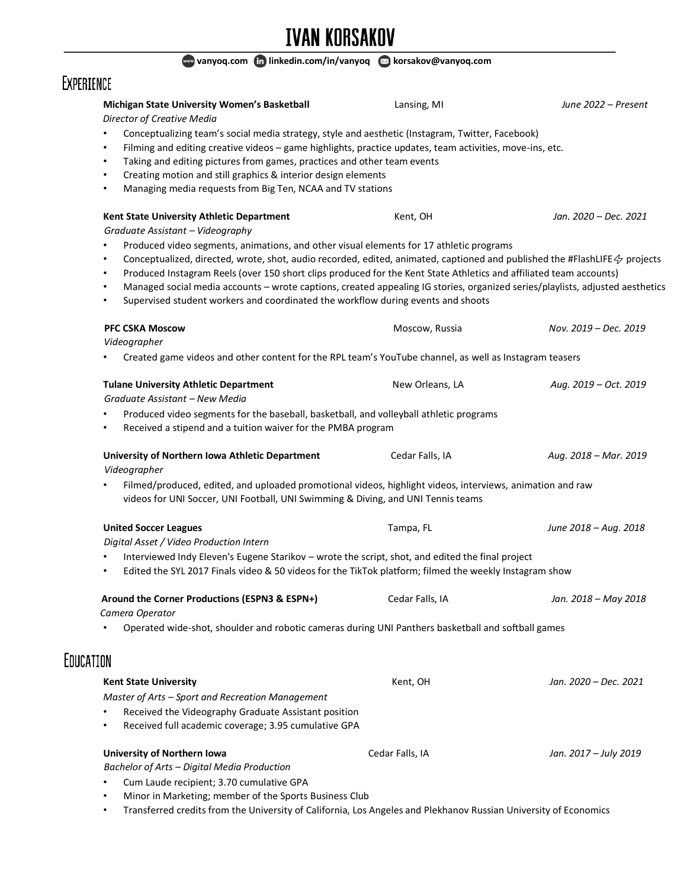# **IVAN KORSAKOV**

| www.vanyoq.com (in linkedin.com/in/vanyoq a korsakov@vanyoq.com                                                                                                                                                                                                                 |                 |                       |
|---------------------------------------------------------------------------------------------------------------------------------------------------------------------------------------------------------------------------------------------------------------------------------|-----------------|-----------------------|
| EXPERIENCE                                                                                                                                                                                                                                                                      |                 |                       |
| Michigan State University Women's Basketball<br>Director of Creative Media                                                                                                                                                                                                      | Lansing, MI     | June 2022 – Present   |
| Conceptualizing team's social media strategy, style and aesthetic (Instagram, Twitter, Facebook)<br>٠                                                                                                                                                                           |                 |                       |
| Filming and editing creative videos - game highlights, practice updates, team activities, move-ins, etc.<br>$\bullet$<br>Taking and editing pictures from games, practices and other team events<br>٠                                                                           |                 |                       |
| Creating motion and still graphics & interior design elements<br>٠                                                                                                                                                                                                              |                 |                       |
| Managing media requests from Big Ten, NCAA and TV stations<br>٠                                                                                                                                                                                                                 |                 |                       |
| Kent State University Athletic Department                                                                                                                                                                                                                                       | Kent, OH        | Jan. 2020 – Dec. 2021 |
| Graduate Assistant - Videography                                                                                                                                                                                                                                                |                 |                       |
| Produced video segments, animations, and other visual elements for 17 athletic programs<br>٠                                                                                                                                                                                    |                 |                       |
| Conceptualized, directed, wrote, shot, audio recorded, edited, animated, captioned and published the #FlashLIFE $\phi$ projects<br>$\bullet$<br>Produced Instagram Reels (over 150 short clips produced for the Kent State Athletics and affiliated team accounts)<br>$\bullet$ |                 |                       |
| Managed social media accounts - wrote captions, created appealing IG stories, organized series/playlists, adjusted aesthetics<br>٠                                                                                                                                              |                 |                       |
| Supervised student workers and coordinated the workflow during events and shoots<br>٠                                                                                                                                                                                           |                 |                       |
| <b>PFC CSKA Moscow</b>                                                                                                                                                                                                                                                          | Moscow, Russia  | Nov. 2019 - Dec. 2019 |
| Videographer                                                                                                                                                                                                                                                                    |                 |                       |
| Created game videos and other content for the RPL team's YouTube channel, as well as Instagram teasers                                                                                                                                                                          |                 |                       |
| <b>Tulane University Athletic Department</b><br>Graduate Assistant - New Media                                                                                                                                                                                                  | New Orleans, LA | Aug. 2019 – Oct. 2019 |
| Produced video segments for the baseball, basketball, and volleyball athletic programs                                                                                                                                                                                          |                 |                       |
| Received a stipend and a tuition waiver for the PMBA program<br>٠                                                                                                                                                                                                               |                 |                       |
| University of Northern Iowa Athletic Department                                                                                                                                                                                                                                 | Cedar Falls, IA | Aug. 2018 - Mar. 2019 |
| Videographer                                                                                                                                                                                                                                                                    |                 |                       |
| Filmed/produced, edited, and uploaded promotional videos, highlight videos, interviews, animation and raw<br>videos for UNI Soccer, UNI Football, UNI Swimming & Diving, and UNI Tennis teams                                                                                   |                 |                       |
| <b>United Soccer Leagues</b>                                                                                                                                                                                                                                                    | Tampa, FL       | June 2018 - Aug. 2018 |
| Digital Asset / Video Production Intern                                                                                                                                                                                                                                         |                 |                       |
| Interviewed Indy Eleven's Eugene Starikov - wrote the script, shot, and edited the final project<br>٠<br>Edited the SYL 2017 Finals video & 50 videos for the TikTok platform; filmed the weekly Instagram show                                                                 |                 |                       |
| Around the Corner Productions (ESPN3 & ESPN+)<br>Camera Operator                                                                                                                                                                                                                | Cedar Falls, IA | Jan. 2018 - May 2018  |
| Operated wide-shot, shoulder and robotic cameras during UNI Panthers basketball and softball games                                                                                                                                                                              |                 |                       |
| EDUCATION                                                                                                                                                                                                                                                                       |                 |                       |
| <b>Kent State University</b>                                                                                                                                                                                                                                                    | Kent, OH        | Jan. 2020 – Dec. 2021 |
| Master of Arts - Sport and Recreation Management                                                                                                                                                                                                                                |                 |                       |
| Received the Videography Graduate Assistant position                                                                                                                                                                                                                            |                 |                       |
| Received full academic coverage; 3.95 cumulative GPA<br>٠                                                                                                                                                                                                                       |                 |                       |
| University of Northern Iowa<br>Bachelor of Arts - Digital Media Production                                                                                                                                                                                                      | Cedar Falls, IA | Jan. 2017 - July 2019 |

- Cum Laude recipient; 3.70 cumulative GPA
- Minor in Marketing; member of the Sports Business Club
- Transferred credits from the University of California, Los Angeles and Plekhanov Russian University of Economics